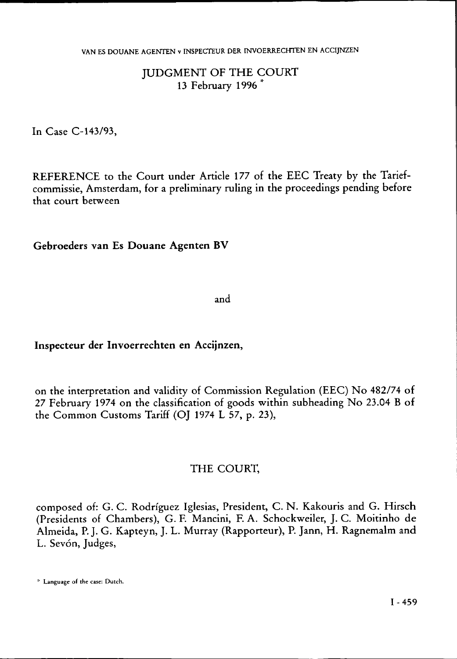# JUDGMENT OF THE COURT 13 February 1996 \*

In Case C-143/93,

REFERENCE to the Court under Article 177 of the EEC Treaty by the Tariefcommissie, Amsterdam, for a preliminary ruling in the proceedings pending before that court between

**Gebroeders van Es Douane Agenten BV** 

and

### **Inspecteur der Invoerrechten en Accijnzen,**

on the interpretation and validity of Commission Regulation (EEC) No 482/74 of 27 February 1974 on the classification of goods within subheading No 23.04 B of the Common Customs Tariff (OJ 1974 L 57, p. 23),

### THE COURT,

composed of: G. C. Rodríguez Iglesias, President, C. N. Kakouris and G. Hirsch (Presidents of Chambers), G. F. Mancini, F. A. Schockweiler, J. C. Moitinho de Almeida, P. J. G. Kapteyn, J. L. Murray (Rapporteur), P. Jann, H. Ragnemalm and L. Sevón, Judges,

\* Language of the case: Dutch.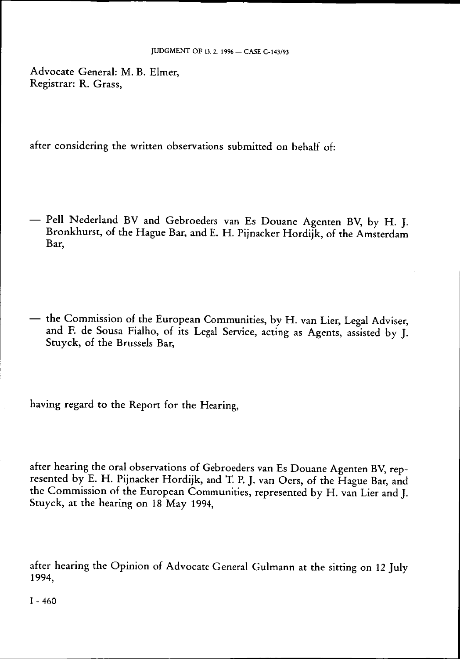Advocate General: M. B. Elmer, Registrar: R. Grass,

after considering the written observations submitted on behalf of:

- Pell Nederland BV and Gebroeders van Es Douane Agenten BV, by H. J. Bronkhurst, of the Hague Bar, and E. H. Pijnacker Hordijk, of the Amsterdam Bar,
- the Commission of the European Communities, by H. van Lier, Legal Adviser, and F. de Sousa Fialho, of its Legal Service, acting as Agents, assisted by J. Stuyck, of the Brussels Bar,

having regard to the Report for the Hearing,

after hearing the oral observations of Gebroeders van Es Douane Agenten BV, represented by E. H. Pijnacker Hordijk, and T. P. J. van Oers, of the Hague Bar, and the Commission of the European Communities, represented by H. van Lier and J. Stuyck, at the hearing on 18 May 1994,

after hearing the Opinion of Advocate General Gulmann at the sitting on 12 July 1994,

 $I - 460$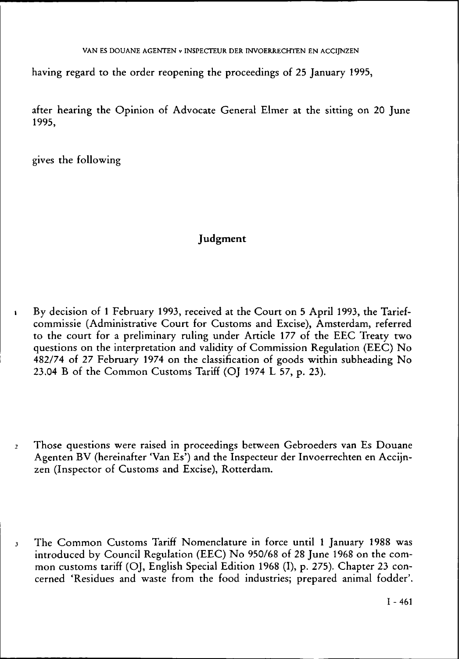having regard to the order reopening the proceedings of 25 January 1995,

after hearing the Opinion of Advocate General Elmer at the sitting on 20 June 1995,

gives the following

# **Judgment**

- 1 By decision of 1 February 1993, received at the Court on 5 April 1993, the Tariefcommissie (Administrative Court for Customs and Excise), Amsterdam, referred to the court for a preliminary ruling under Article 177 of the EEC Treaty two questions on the interpretation and validity of Commission Regulation (EEC) No 482/74 of 27 February 1974 on the classification of goods within subheading No 23.04 B of the Common Customs Tariff (OJ 1974 L 57, p. 23).
- *2* Those questions were raised in proceedings between Gebroeders van Es Douane Agenten BV (hereinafter 'Van Es') and the Inspecteur der Invoerrechten en Accijnzen (Inspector of Customs and Excise), Rotterdam.
- 3 The Common Customs Tariff Nomenclature in force until 1 January 1988 was introduced by Council Regulation (EEC) No 950/68 of 28 June 1968 on the common customs tariff (OJ, English Special Edition 1968 (I), p. 275). Chapter 23 concerned 'Residues and waste from the food industries; prepared animal fodder'.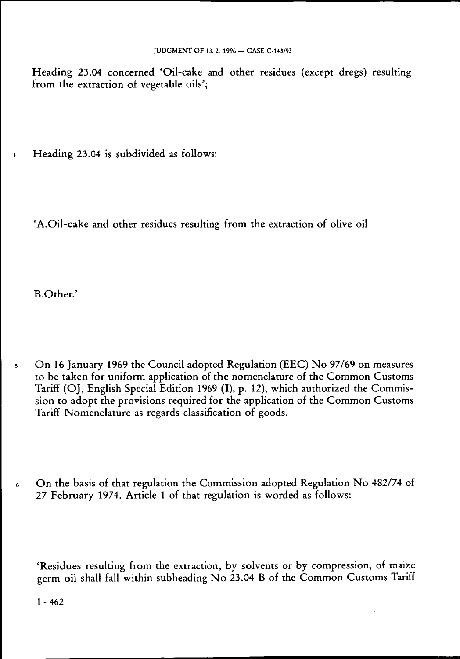Heading 23.04 concerned 'Oil-cake and other residues (except dregs) resulting from the extraction of vegetable oils';

t Heading 23.04 is subdivided as follows:

'A.Oil-cake and other residues resulting from the extraction of olive oil

B.Other.'

- 5 On 16 January 1969 the Council adopted Regulation (EEC) No 97/69 on measures to be taken for uniform application of the nomenclature of the Common Customs Tariff (OJ, English Special Edition 1969 (I), p. 12), which authorized the Commission to adopt the provisions required for the application of the Common Customs Tariff Nomenclature as regards classification of goods.
- 6 On the basis of that regulation the Commission adopted Regulation No 482/74 of 27 February 1974. Article 1 of that regulation is worded as follows:

'Residues resulting from the extraction, by solvents or by compression, of maize germ oil shall fall within subheading No 23.04 B of the Common Customs Tariff

 $I - 462$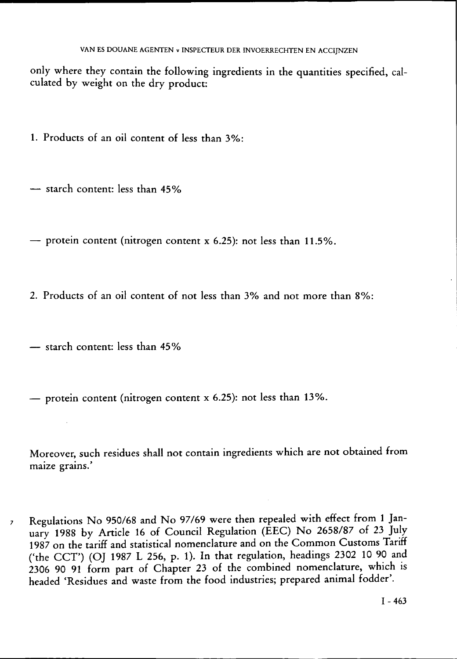only where they contain the following ingredients in the quantities specified, calculated by weight on the dry product:

1. Products of an oil content of less than 3%:

— starch content: less than 45%

— protein content (nitrogen content x  $6.25$ ): not less than  $11.5\%$ .

2. Products of an oil content of not less than 3% and not more than 8%:

— starch content: less than 45%

— protein content (nitrogen content  $x$  6.25): not less than 13%.

Moreover, such residues shall not contain ingredients which are not obtained from maize grains.'

7 Regulations No 950/68 and No 97/69 were then repealed with effect from 1 January 1988 by Article 16 of Council Regulation (EEC) No 2658/87 of 23 July 1987 on the tariff and statistical nomenclature and on the Common Customs Tariff ('the CCT') (OJ 1987 L 256, p. 1). In that regulation, headings 2302 10 90 and 2306 90 91 form part of Chapter 23 of the combined nomenclature, which is headed 'Residues and waste from the food industries; prepared animal fodder'.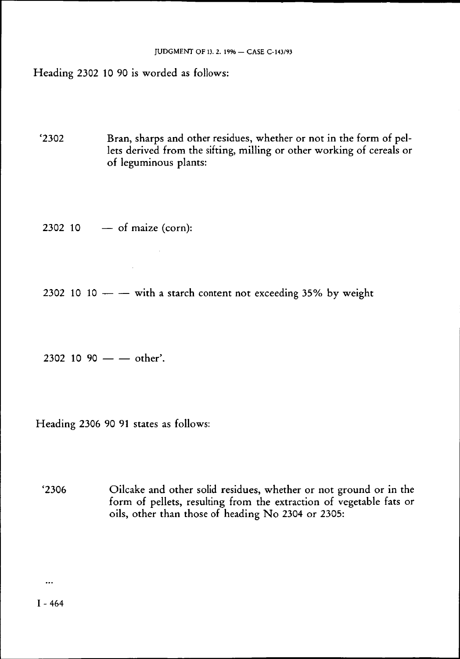Heading 2302 10 90 is worded as follows:

'2302 Bran, sharps and other residues, whether or not in the form of pellets derived from the sifting, milling or other working of cereals or of leguminous plants:

 $2302$  10 — of maize (corn):

 $\mathbf{r}$ 

2302 10 10  $-$  with a starch content not exceeding 35% by weight

2302 10 90  $-$  other'.

Heading 2306 90 91 states as follows:

'2306 Oilcake and other solid residues, whether or not ground or in the form of pellets, resulting from the extraction of vegetable fats or oils, other than those of heading No 2304 or 2305:

 $\ddotsc$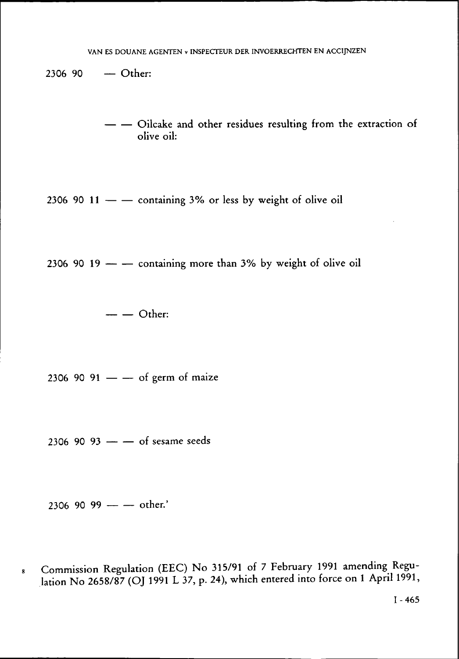2306 90 — Other:

- - Oilcake and other residues resulting from the extraction of olive oil:

2306 90 11  $-$  containing 3% or less by weight of olive oil

2306 90 19  $-$  - containing more than 3% by weight of olive oil

2306 90 91  $-$  of germ of maize

2306 90 93  $-$  of sesame seeds

2306 90 93 of sesame seeds

Commission Regulation (EEC) No 315/91 of 7 February 1991 amending Regu-8 lation No 2658/87 (OJ 1991 L 37, p. 24), which entered into force on 1 April 1991,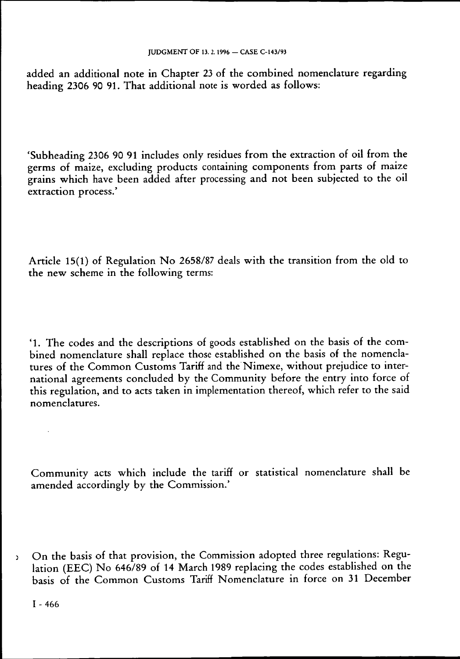added an additional note in Chapter 23 of the combined nomenclature regarding heading 2306 90 91. That additional note is worded as follows:

'Subheading 2306 90 91 includes only residues from the extraction of oil from the germs of maize, excluding products containing components from parts of maize grains which have been added after processing and not been subjected to the oil extraction process.'

Article 15(1) of Regulation No 2658/87 deals with the transition from the old to the new scheme in the following terms:

'1. The codes and the descriptions of goods established on the basis of the combined nomenclature shall replace those established on the basis of the nomenclatures of the Common Customs Tariff and the Nimexe, without prejudice to international agreements concluded by the Community before the entry into force of this regulation, and to acts taken in implementation thereof, which refer to the said nomenclatures.

Community acts which include the tariff or statistical nomenclature shall be amended accordingly by the Commission.'

on the basis of that provision, the Commission adopted three regulations: Regulation (EEC) No 646/89 of 14 March 1989 replacing the codes established on the basis of the Common Customs Tariff Nomenclature in force on 31 December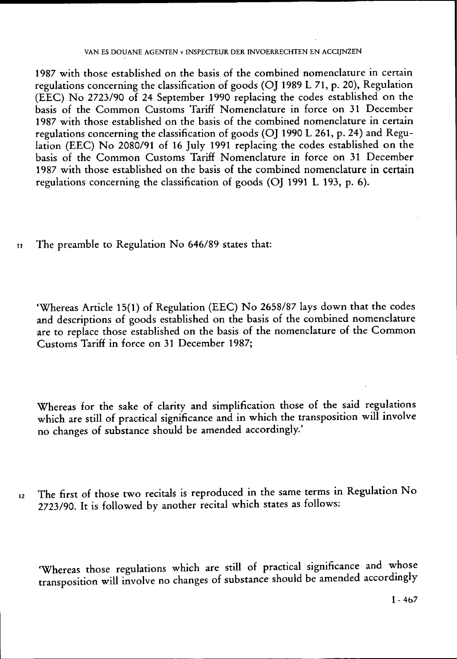1987 with those established on the basis of the combined nomenclature in certain regulations concerning the classification of goods (OJ 1989 L 71, p. 20), Regulation (EEC) No 2723/90 of 24 September 1990 replacing the codes established on the basis of the Common Customs Tariff Nomenclature in force on 31 December 1987 with those established on the basis of the combined nomenclature in certain regulations concerning the classification of goods (OJ 1990 L 261, p. 24) and Regulation (EEC) No 2080/91 of 16 July 1991 replacing the codes established on the basis of the Common Customs Tariff Nomenclature in force on 31 December 1987 with those established on the basis of the combined nomenclature in certain regulations concerning the classification of goods (OJ 1991 L 193, p. 6).

n The preamble to Regulation No 646/89 states that:

'Whereas Article 15(1) of Regulation (EEC) No 2658/87 lays down that the codes and descriptions of goods established on the basis of the combined nomenclature are to replace those established on the basis of the nomenclature of the Common Customs Tariff in force on 31 December 1987;

Whereas for the sake of clarity and simplification those of the said regulations which are still of practical significance and in which the transposition will involve no changes of substance should be amended accordingly.'

12 The first of those two recitals is reproduced in the same terms in Regulation No 2723/90. It is followed by another recital which states as follows:

'Whereas those regulations which are still of practical significance and whose transposition will involve no changes of substance should be amended accordingly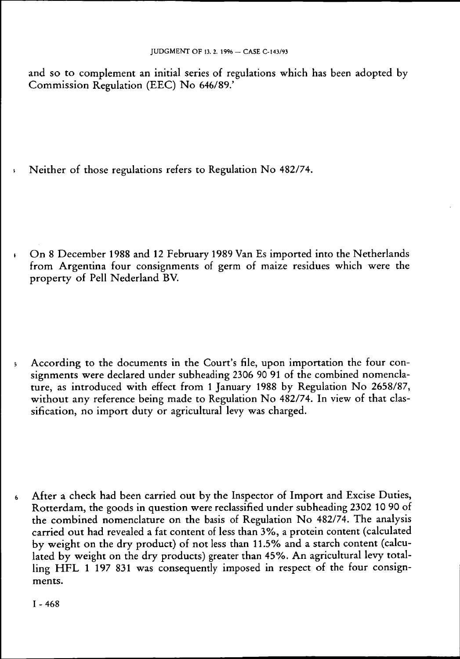and so to complement an initial series of regulations which has been adopted by Commission Regulation (EEC) No 646/89.'

3 Neither of those regulations refers to Regulation No 482/74.

t On 8 December 1988 and 12 February 1989 Van Es imported into the Netherlands from Argentina four consignments of germ of maize residues which were the property of Pell Nederland BV.

s According to the documents in the Court's file, upon importation the four consignments were declared under subheading 2306 90 91 of the combined nomenclature, as introduced with effect from 1 January 1988 by Regulation No 2658/87, without any reference being made to Regulation No 482/74. In view of that classification, no import duty or agricultural levy was charged.

6 After a check had been carried out by the Inspector of Import and Excise Duties, Rotterdam, the goods in question were reclassified under subheading 2302 10 90 of the combined nomenclature on the basis of Regulation No 482/74. The analysis carried out had revealed a fat content of less than 3%, a protein content (calculated by weight on the dry product) of not less than 11.5% and a starch content (calculated by weight on the dry products) greater than 45%. An agricultural levy totalling HFL  $1$  197 831 was consequently imposed in respect of the four consignments.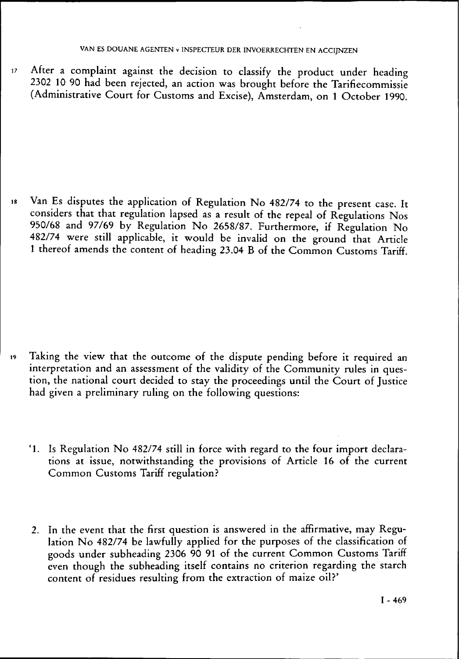i7 After a complaint against the decision to classify the product under heading 2302 10 90 had been rejected, an action was brought before the Tarifiecommissie (Administrative Court for Customs and Excise), Amsterdam, on 1 October 1990.

is Van Es disputes the application of Regulation No 482/74 to the present case. It considers that that regulation lapsed as a result of the repeal of Regulations Nos 950/68 and 97/69 by Regulation No 2658/87. Furthermore, if Regulation No 482/74 were still applicable, it would be invalid on the ground that Article 1 thereof amends the content of heading 23.04 B of the Common Customs Tariff.

- i9 Taking the view that the outcome of the dispute pending before it required an interpretation and an assessment of the validity of the Community rules in question, the national court decided to stay the proceedings until the Court of Justice had given a preliminary ruling on the following questions:
	- '1. Is Regulation No 482/74 still in force with regard to the four import declarations at issue, notwithstanding the provisions of Article 16 of the current Common Customs Tariff regulation?
	- 2. In the event that the first question is answered in the affirmative, may Regulation No 482/74 be lawfully applied for the purposes of the classification of goods under subheading 2306 90 91 of the current Common Customs Tariff even though the subheading itself contains no criterion regarding the starch content of residues resulting from the extraction of maize oil?'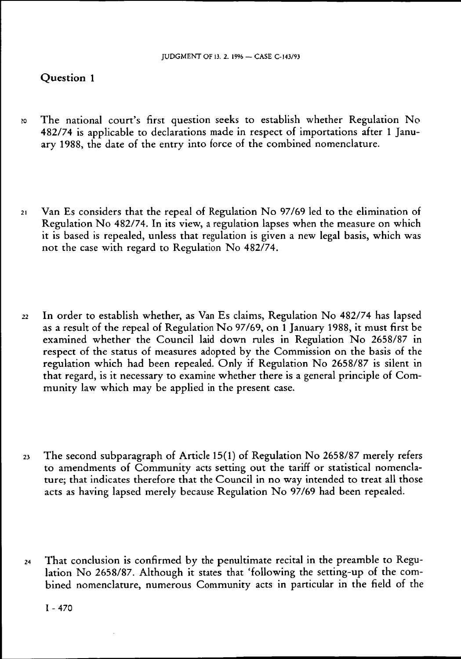## Question 1

- 20 The national court's first question seeks to establish whether Regulation No 482/74 is applicable to declarations made in respect of importations after 1 January 1988, the date of the entry into force of the combined nomenclature.
- $21$  Van Es considers that the repeal of Regulation No 97/69 led to the elimination of Regulation No 482/74. In its view, a regulation lapses when the measure on which it is based is repealed, unless that regulation is given a new legal basis, which was not the case with regard to Regulation No 482/74.
- 22 In order to establish whether, as Van Es claims, Regulation No 482/74 has lapsed as a result of the repeal of Regulation No 97/69, on  $\tilde{1}$  January 1988, it must first be examined whether the Council laid down rules in Regulation No 2658/87 in respect of the status of measures adopted by the Commission on the basis of the regulation which had been repealed. Only if Regulation No 2658/87 is silent in that regard, is it necessary to examine whether there is a general principle of Community law which may be applied in the present case.
- $23$  The second subparagraph of Article 15(1) of Regulation No 2658/87 merely refers to amendments of Community acts setting out the tariff or statistical nomenclature; that indicates therefore that the Council in no way intended to treat all those acts as having lapsed merely because Regulation No  $97/69$  had been repealed.
- 24 That conclusion is confirmed by the penultimate recital in the preamble to Regulation No 2658/87. Although it states that 'following the setting-up of the combined nomenclature, numerous Community acts in particular in the field of the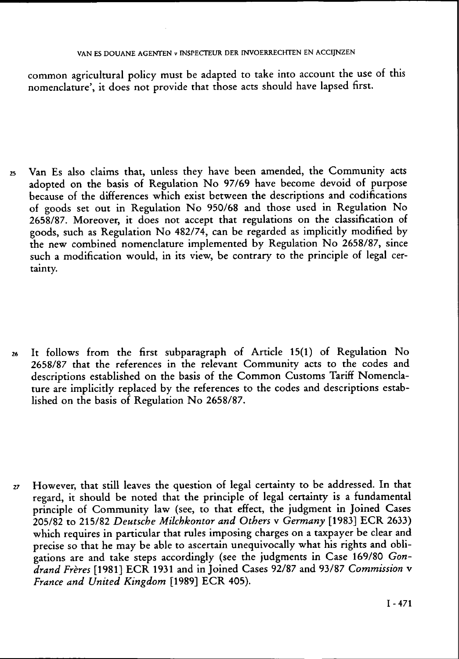## VAN ES DOUANE AGENTEN v INSPECTEUR DER INVOERRECHTEN EN ACCIJNZEN

common agricultural policy must be adapted to take into account the use of this nomenclature', it does not provide that those acts should have lapsed first.

25 Van Es also claims that, unless they have been amended, the Community acts adopted on the basis of Regulation No 97/69 have become devoid of purpose because of the differences which exist between the descriptions and codifications of goods set out in Regulation No 950/68 and those used in Regulation No 2658/87. Moreover, it does not accept that regulations on the classification of goods, such as Regulation No 482/74, can be regarded as implicitly modified by the new combined nomenclature implemented by Regulation No 2658/87, since such a modification would, in its view, be contrary to the principle of legal certainty.

26 It follows from the first subparagraph of Article 15(1) of Regulation No 2658/87 that the references in the relevant Community acts to the codes and descriptions established on the basis of the Common Customs Tariff Nomenclature are implicitly replaced by the references to the codes and descriptions established on the basis of Regulation No 2658/87.

27 However, that still leaves the question of legal certainty to be addressed. In that regard, it should be noted that the principle of legal certainty is a fundamental principle of Community law (see, to that effect, the judgment in Joined Cases 205/82 to 215/82 *Deutsche Milchkontor and Others* v *Germany* [1983] ECR 2633) which requires in particular that rules imposing charges on a taxpayer be clear and precise so that he may be able to ascertain unequivocally what his rights and obligations are and take steps accordingly (see the judgments in Case 169/80 *Gondrand Frères* [1981] ECR 1931 and in Joined Cases 92/87 and 93/87 *Commission* v *France and United Kingdom* [1989] ECR 405).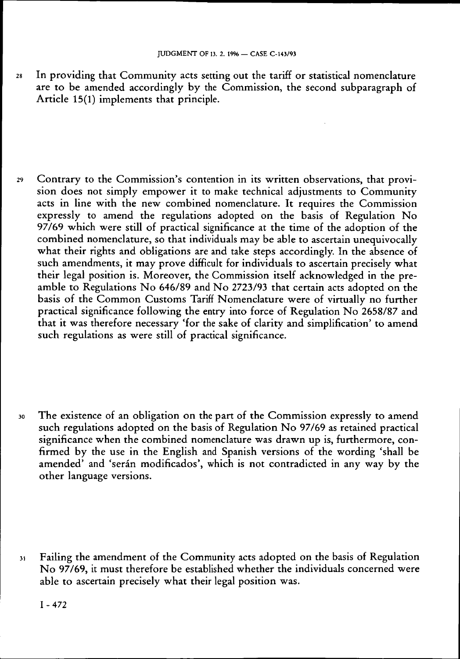28 In providing that Community acts setting out the tariff or statistical nomenclature are to be amended accordingly by the Commission, the second subparagraph of Article 15(1) implements that principle.

29 Contrary to the Commission's contention in its written observations, that provision does not simply empower it to make technical adjustments to Community acts in line with the new combined nomenclature. It requires the Commission expressly to amend the regulations adopted on the basis of Regulation No 97/69 which were still of practical significance at the time of the adoption of the combined nomenclature, so that individuals may be able to ascertain unequivocally what their rights and obligations are and take steps accordingly. In the absence of such amendments, it may prove difficult for individuals to ascertain precisely what their legal position is. Moreover, the Commission itself acknowledged in the preamble to Regulations No  $646/89$  and No 2723/93 that certain acts adopted on the basis of the Common Customs Tariff Nomenclature were of virtually no further practical significance following the entry into force of Regulation No 2658/87 and that it was therefore necessary 'for the sake of clarity and simplification' to amend such regulations as were still of practical significance.

30 The existence of an obligation on the part of the Commission expressly to amend such regulations adopted on the basis of Regulation No 97/69 as retained practical significance when the combined nomenclature was drawn up is, furthermore, confirmed by the use in the English and Spanish versions of the wording 'shall be amended' and 'serán modificados', which is not contradicted in any way by the other language versions.

3i Failing the amendment of the Community acts adopted on the basis of Regulation No 97/69, it must therefore be established whether the individuals concerned were able to ascertain precisely what their legal position was.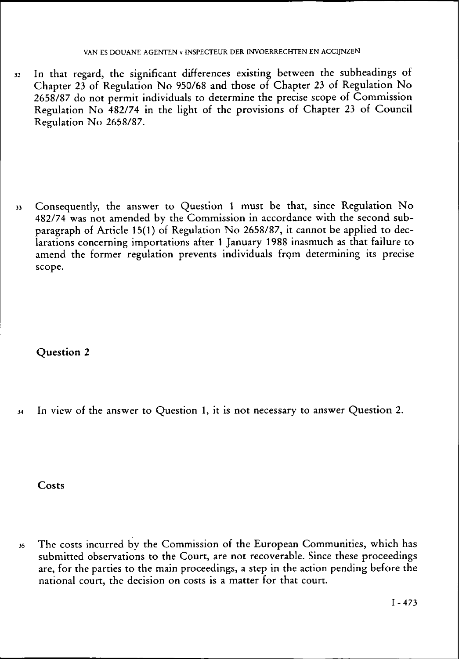32 In that regard, the significant differences existing between the subheadings of Chapter 23 of Regulation No 950/68 and those of Chapter 23 of Regulation No 2658/87 do not permit individuals to determine the precise scope of Commission Regulation No 482/74 in the light of the provisions of Chapter 23 of Council Regulation No 2658/87.

33 Consequently, the answer to Question 1 must be that, since Regulation No 482/74 was not amended by the Commission in accordance with the second subparagraph of Article 15(1) of Regulation No 2658/87, it cannot be applied to declarations concerning importations after 1 January 1988 inasmuch as that failure to amend the former regulation prevents individuals from determining its precise scope.

**Question 2** 

34 In view of the answer to Question 1, it is not necessary to answer Question 2.

Costs

35 The costs incurred by the Commission of the European Communities, which has submitted observations to the Court, are not recoverable. Since these proceedings are, for the parties to the main proceedings, a step in the action pending before the national court, the decision on costs is a matter for that court.